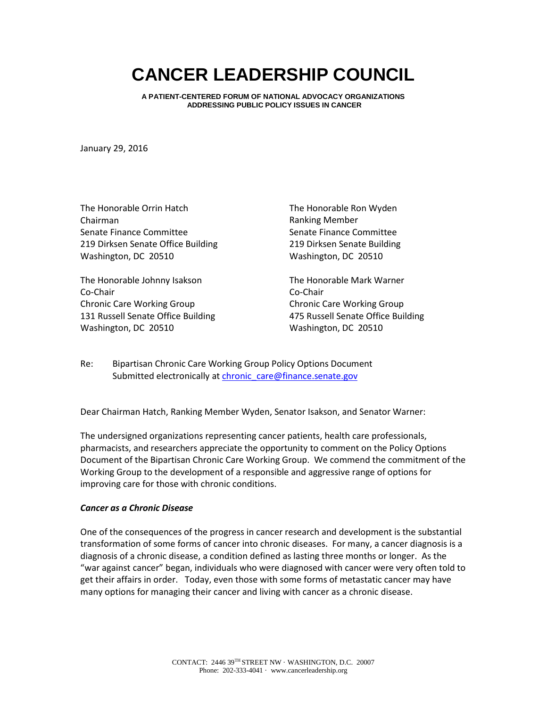# **CANCER LEADERSHIP COUNCIL**

**A PATIENT-CENTERED FORUM OF NATIONAL ADVOCACY ORGANIZATIONS ADDRESSING PUBLIC POLICY ISSUES IN CANCER**

January 29, 2016

The Honorable Orrin Hatch Chairman Senate Finance Committee 219 Dirksen Senate Office Building Washington, DC 20510

The Honorable Johnny Isakson Co-Chair Chronic Care Working Group 131 Russell Senate Office Building Washington, DC 20510

The Honorable Ron Wyden Ranking Member Senate Finance Committee 219 Dirksen Senate Building Washington, DC 20510

The Honorable Mark Warner Co-Chair Chronic Care Working Group 475 Russell Senate Office Building Washington, DC 20510

Re: Bipartisan Chronic Care Working Group Policy Options Document Submitted electronically at chronic care@finance.senate.gov

Dear Chairman Hatch, Ranking Member Wyden, Senator Isakson, and Senator Warner:

The undersigned organizations representing cancer patients, health care professionals, pharmacists, and researchers appreciate the opportunity to comment on the Policy Options Document of the Bipartisan Chronic Care Working Group. We commend the commitment of the Working Group to the development of a responsible and aggressive range of options for improving care for those with chronic conditions.

### *Cancer as a Chronic Disease*

One of the consequences of the progress in cancer research and development is the substantial transformation of some forms of cancer into chronic diseases. For many, a cancer diagnosis is a diagnosis of a chronic disease, a condition defined as lasting three months or longer. As the "war against cancer" began, individuals who were diagnosed with cancer were very often told to get their affairs in order. Today, even those with some forms of metastatic cancer may have many options for managing their cancer and living with cancer as a chronic disease.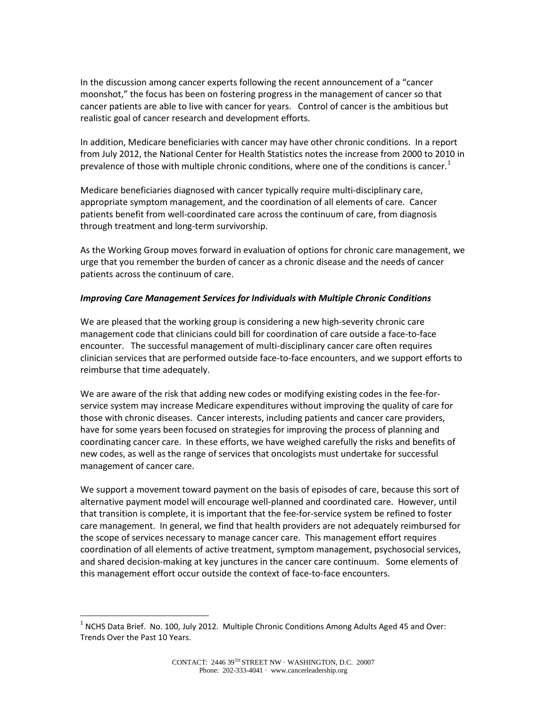In the discussion among cancer experts following the recent announcement of a "cancer moonshot," the focus has been on fostering progress in the management of cancer so that cancer patients are able to live with cancer for years. Control of cancer is the ambitious but realistic goal of cancer research and development efforts.

In addition, Medicare beneficiaries with cancer may have other chronic conditions. In a report from July 2012, the National Center for Health Statistics notes the increase from 2000 to 2010 in prevalence of those with multiple chronic conditions, where one of the conditions is cancer.<sup>[1](#page-1-0)</sup>

Medicare beneficiaries diagnosed with cancer typically require multi-disciplinary care, appropriate symptom management, and the coordination of all elements of care. Cancer patients benefit from well-coordinated care across the continuum of care, from diagnosis through treatment and long-term survivorship.

As the Working Group moves forward in evaluation of options for chronic care management, we urge that you remember the burden of cancer as a chronic disease and the needs of cancer patients across the continuum of care.

## *Improving Care Management Services for Individuals with Multiple Chronic Conditions*

We are pleased that the working group is considering a new high-severity chronic care management code that clinicians could bill for coordination of care outside a face-to-face encounter. The successful management of multi-disciplinary cancer care often requires clinician services that are performed outside face-to-face encounters, and we support efforts to reimburse that time adequately.

We are aware of the risk that adding new codes or modifying existing codes in the fee-forservice system may increase Medicare expenditures without improving the quality of care for those with chronic diseases. Cancer interests, including patients and cancer care providers, have for some years been focused on strategies for improving the process of planning and coordinating cancer care. In these efforts, we have weighed carefully the risks and benefits of new codes, as well as the range of services that oncologists must undertake for successful management of cancer care.

We support a movement toward payment on the basis of episodes of care, because this sort of alternative payment model will encourage well-planned and coordinated care. However, until that transition is complete, it is important that the fee-for-service system be refined to foster care management. In general, we find that health providers are not adequately reimbursed for the scope of services necessary to manage cancer care. This management effort requires coordination of all elements of active treatment, symptom management, psychosocial services, and shared decision-making at key junctures in the cancer care continuum. Some elements of this management effort occur outside the context of face-to-face encounters.

<span id="page-1-0"></span><sup>&</sup>lt;sup>1</sup> NCHS Data Brief. No. 100, July 2012. Multiple Chronic Conditions Among Adults Aged 45 and Over: Trends Over the Past 10 Years.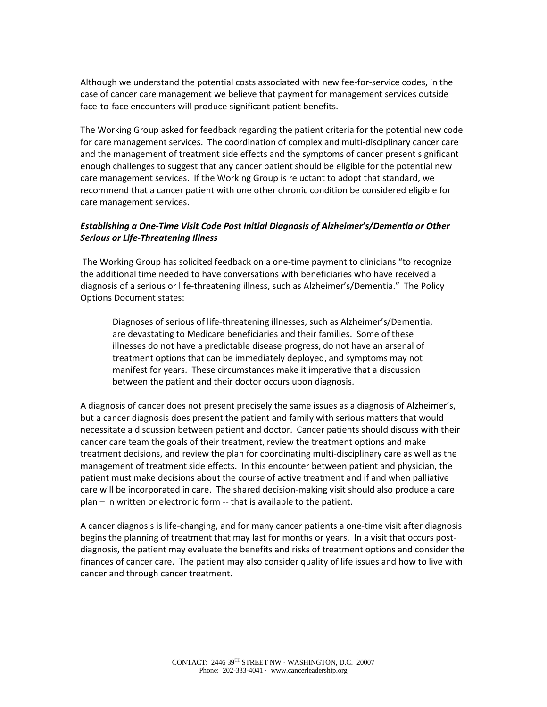Although we understand the potential costs associated with new fee-for-service codes, in the case of cancer care management we believe that payment for management services outside face-to-face encounters will produce significant patient benefits.

The Working Group asked for feedback regarding the patient criteria for the potential new code for care management services. The coordination of complex and multi-disciplinary cancer care and the management of treatment side effects and the symptoms of cancer present significant enough challenges to suggest that any cancer patient should be eligible for the potential new care management services. If the Working Group is reluctant to adopt that standard, we recommend that a cancer patient with one other chronic condition be considered eligible for care management services.

# *Establishing a One-Time Visit Code Post Initial Diagnosis of Alzheimer's/Dementia or Other Serious or Life-Threatening Illness*

The Working Group has solicited feedback on a one-time payment to clinicians "to recognize the additional time needed to have conversations with beneficiaries who have received a diagnosis of a serious or life-threatening illness, such as Alzheimer's/Dementia." The Policy Options Document states:

Diagnoses of serious of life-threatening illnesses, such as Alzheimer's/Dementia, are devastating to Medicare beneficiaries and their families. Some of these illnesses do not have a predictable disease progress, do not have an arsenal of treatment options that can be immediately deployed, and symptoms may not manifest for years. These circumstances make it imperative that a discussion between the patient and their doctor occurs upon diagnosis.

A diagnosis of cancer does not present precisely the same issues as a diagnosis of Alzheimer's, but a cancer diagnosis does present the patient and family with serious matters that would necessitate a discussion between patient and doctor. Cancer patients should discuss with their cancer care team the goals of their treatment, review the treatment options and make treatment decisions, and review the plan for coordinating multi-disciplinary care as well as the management of treatment side effects. In this encounter between patient and physician, the patient must make decisions about the course of active treatment and if and when palliative care will be incorporated in care. The shared decision-making visit should also produce a care plan – in written or electronic form -- that is available to the patient.

A cancer diagnosis is life-changing, and for many cancer patients a one-time visit after diagnosis begins the planning of treatment that may last for months or years. In a visit that occurs postdiagnosis, the patient may evaluate the benefits and risks of treatment options and consider the finances of cancer care. The patient may also consider quality of life issues and how to live with cancer and through cancer treatment.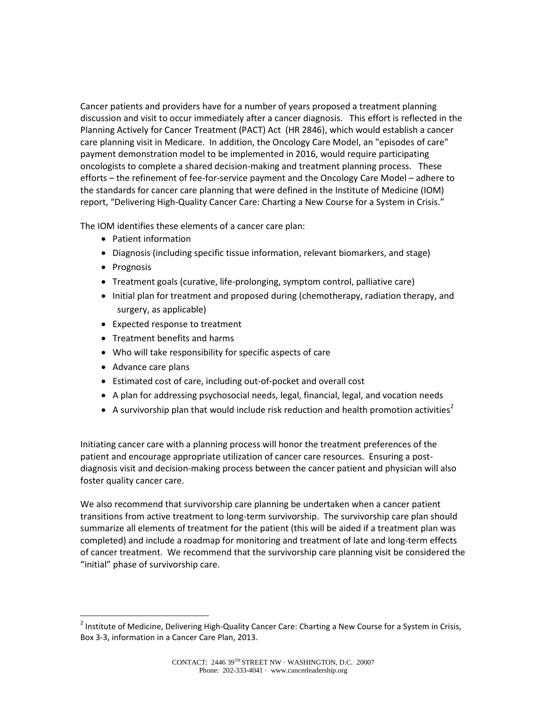Cancer patients and providers have for a number of years proposed a treatment planning discussion and visit to occur immediately after a cancer diagnosis. This effort is reflected in the Planning Actively for Cancer Treatment (PACT) Act (HR 2846), which would establish a cancer care planning visit in Medicare. In addition, the Oncology Care Model, an "episodes of care" payment demonstration model to be implemented in 2016, would require participating oncologists to complete a shared decision-making and treatment planning process. These efforts – the refinement of fee-for-service payment and the Oncology Care Model – adhere to the standards for cancer care planning that were defined in the Institute of Medicine (IOM) report, "Delivering High-Quality Cancer Care: Charting a New Course for a System in Crisis."

The IOM identifies these elements of a cancer care plan:

- Patient information
- Diagnosis (including specific tissue information, relevant biomarkers, and stage)
- Prognosis
- Treatment goals (curative, life-prolonging, symptom control, palliative care)
- Initial plan for treatment and proposed during (chemotherapy, radiation therapy, and surgery, as applicable)
- Expected response to treatment
- Treatment benefits and harms
- Who will take responsibility for specific aspects of care
- Advance care plans
- Estimated cost of care, including out-of-pocket and overall cost
- A plan for addressing psychosocial needs, legal, financial, legal, and vocation needs
- A survivorship plan that would include risk reduction and health promotion activities<sup>[2](#page-3-0)</sup>

Initiating cancer care with a planning process will honor the treatment preferences of the patient and encourage appropriate utilization of cancer care resources. Ensuring a postdiagnosis visit and decision-making process between the cancer patient and physician will also foster quality cancer care.

We also recommend that survivorship care planning be undertaken when a cancer patient transitions from active treatment to long-term survivorship. The survivorship care plan should summarize all elements of treatment for the patient (this will be aided if a treatment plan was completed) and include a roadmap for monitoring and treatment of late and long-term effects of cancer treatment. We recommend that the survivorship care planning visit be considered the "initial" phase of survivorship care.

<span id="page-3-0"></span><sup>&</sup>lt;sup>2</sup> Institute of Medicine, Delivering High-Quality Cancer Care: Charting a New Course for a System in Crisis, Box 3-3, information in a Cancer Care Plan, 2013.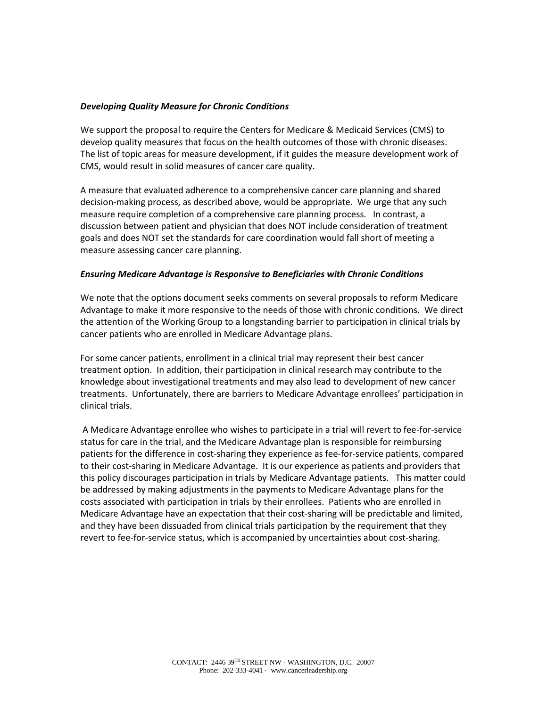## *Developing Quality Measure for Chronic Conditions*

We support the proposal to require the Centers for Medicare & Medicaid Services (CMS) to develop quality measures that focus on the health outcomes of those with chronic diseases. The list of topic areas for measure development, if it guides the measure development work of CMS, would result in solid measures of cancer care quality.

A measure that evaluated adherence to a comprehensive cancer care planning and shared decision-making process, as described above, would be appropriate. We urge that any such measure require completion of a comprehensive care planning process. In contrast, a discussion between patient and physician that does NOT include consideration of treatment goals and does NOT set the standards for care coordination would fall short of meeting a measure assessing cancer care planning.

## *Ensuring Medicare Advantage is Responsive to Beneficiaries with Chronic Conditions*

We note that the options document seeks comments on several proposals to reform Medicare Advantage to make it more responsive to the needs of those with chronic conditions. We direct the attention of the Working Group to a longstanding barrier to participation in clinical trials by cancer patients who are enrolled in Medicare Advantage plans.

For some cancer patients, enrollment in a clinical trial may represent their best cancer treatment option. In addition, their participation in clinical research may contribute to the knowledge about investigational treatments and may also lead to development of new cancer treatments. Unfortunately, there are barriers to Medicare Advantage enrollees' participation in clinical trials.

A Medicare Advantage enrollee who wishes to participate in a trial will revert to fee-for-service status for care in the trial, and the Medicare Advantage plan is responsible for reimbursing patients for the difference in cost-sharing they experience as fee-for-service patients, compared to their cost-sharing in Medicare Advantage. It is our experience as patients and providers that this policy discourages participation in trials by Medicare Advantage patients. This matter could be addressed by making adjustments in the payments to Medicare Advantage plans for the costs associated with participation in trials by their enrollees. Patients who are enrolled in Medicare Advantage have an expectation that their cost-sharing will be predictable and limited, and they have been dissuaded from clinical trials participation by the requirement that they revert to fee-for-service status, which is accompanied by uncertainties about cost-sharing.